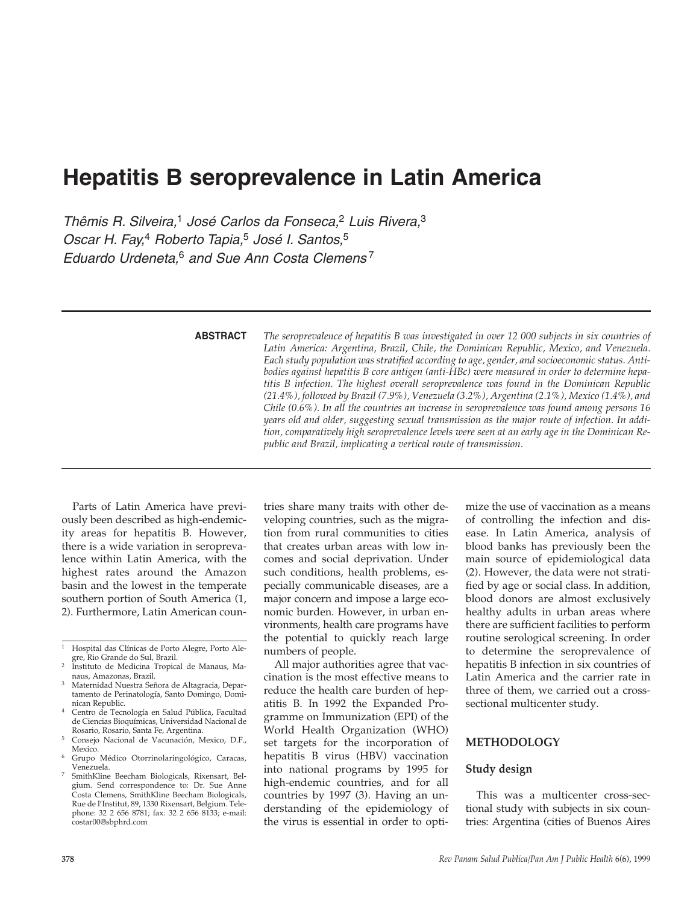# **Hepatitis B seroprevalence in Latin America**

*Thêmis R. Silveira,*<sup>1</sup> *José Carlos da Fonseca,*<sup>2</sup> *Luis Rivera,*<sup>3</sup> *Oscar H. Fay,*<sup>4</sup> *Roberto Tapia,*<sup>5</sup> *José I. Santos,*<sup>5</sup> *Eduardo Urdeneta,*<sup>6</sup> *and Sue Ann Costa Clemens* <sup>7</sup>

**ABSTRACT**

*The seroprevalence of hepatitis B was investigated in over 12 000 subjects in six countries of Latin America: Argentina, Brazil, Chile, the Dominican Republic, Mexico, and Venezuela. Each study population was stratified according to age, gender, and socioeconomic status. Antibodies against hepatitis B core antigen (anti-HBc) were measured in order to determine hepatitis B infection. The highest overall seroprevalence was found in the Dominican Republic (21.4%), followed by Brazil (7.9%), Venezuela (3.2%), Argentina (2.1%), Mexico (1.4%), and Chile (0.6%). In all the countries an increase in seroprevalence was found among persons 16 years old and older, suggesting sexual transmission as the major route of infection. In addition, comparatively high seroprevalence levels were seen at an early age in the Dominican Republic and Brazil, implicating a vertical route of transmission.*

Parts of Latin America have previously been described as high-endemicity areas for hepatitis B. However, there is a wide variation in seroprevalence within Latin America, with the highest rates around the Amazon basin and the lowest in the temperate southern portion of South America (1, 2). Furthermore, Latin American countries share many traits with other developing countries, such as the migration from rural communities to cities that creates urban areas with low incomes and social deprivation. Under such conditions, health problems, especially communicable diseases, are a major concern and impose a large economic burden. However, in urban environments, health care programs have the potential to quickly reach large numbers of people.

All major authorities agree that vaccination is the most effective means to reduce the health care burden of hepatitis B. In 1992 the Expanded Programme on Immunization (EPI) of the World Health Organization (WHO) set targets for the incorporation of hepatitis B virus (HBV) vaccination into national programs by 1995 for high-endemic countries, and for all countries by 1997 (3). Having an understanding of the epidemiology of the virus is essential in order to optimize the use of vaccination as a means of controlling the infection and disease. In Latin America, analysis of blood banks has previously been the main source of epidemiological data (2). However, the data were not stratified by age or social class. In addition, blood donors are almost exclusively healthy adults in urban areas where there are sufficient facilities to perform routine serological screening. In order to determine the seroprevalence of hepatitis B infection in six countries of Latin America and the carrier rate in three of them, we carried out a crosssectional multicenter study.

## **METHODOLOGY**

## **Study design**

This was a multicenter cross-sectional study with subjects in six countries: Argentina (cities of Buenos Aires

<sup>1</sup> Hospital das Clínicas de Porto Alegre, Porto Alegre, Rio Grande do Sul, Brazil. 2 Instituto de Medicina Tropical de Manaus, Ma-

naus, Amazonas, Brazil.

<sup>3</sup> Maternidad Nuestra Señora de Altagracia, Departamento de Perinatología, Santo Domingo, Dominican Republic.<br>Centro de Tecnología en Salud Pública, Facultad

de Ciencias Bioquímicas, Universidad Nacional de Rosario, Rosario, Santa Fe, Argentina.<br>Consejo Nacional de Vacunación, Mexico, D.F.,

Mexico.<br>Grupo Médico Otorrinolaringológico, Caracas,<br>Venezuela.

SmithKline Beecham Biologicals, Rixensart, Belgium. Send correspondence to: Dr. Sue Anne Costa Clemens, SmithKline Beecham Biologicals, Rue de l'Institut, 89, 1330 Rixensart, Belgium. Telephone: 32 2 656 8781; fax: 32 2 656 8133; e-mail: costar00@sbphrd.com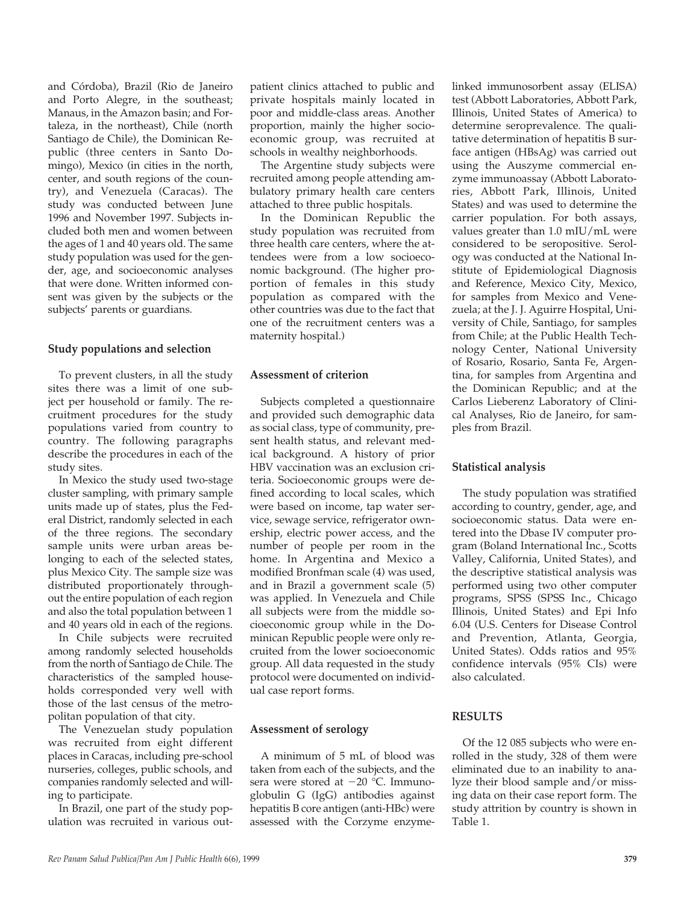and Córdoba), Brazil (Rio de Janeiro and Porto Alegre, in the southeast; Manaus, in the Amazon basin; and Fortaleza, in the northeast), Chile (north Santiago de Chile), the Dominican Republic (three centers in Santo Domingo), Mexico (in cities in the north, center, and south regions of the country), and Venezuela (Caracas). The study was conducted between June 1996 and November 1997. Subjects included both men and women between the ages of 1 and 40 years old. The same study population was used for the gender, age, and socioeconomic analyses that were done. Written informed consent was given by the subjects or the subjects' parents or guardians.

## **Study populations and selection**

To prevent clusters, in all the study sites there was a limit of one subject per household or family. The recruitment procedures for the study populations varied from country to country. The following paragraphs describe the procedures in each of the study sites.

In Mexico the study used two-stage cluster sampling, with primary sample units made up of states, plus the Federal District, randomly selected in each of the three regions. The secondary sample units were urban areas belonging to each of the selected states, plus Mexico City. The sample size was distributed proportionately throughout the entire population of each region and also the total population between 1 and 40 years old in each of the regions.

In Chile subjects were recruited among randomly selected households from the north of Santiago de Chile. The characteristics of the sampled households corresponded very well with those of the last census of the metropolitan population of that city.

The Venezuelan study population was recruited from eight different places in Caracas, including pre-school nurseries, colleges, public schools, and companies randomly selected and willing to participate.

In Brazil, one part of the study population was recruited in various out-

patient clinics attached to public and private hospitals mainly located in poor and middle-class areas. Another proportion, mainly the higher socioeconomic group, was recruited at schools in wealthy neighborhoods.

The Argentine study subjects were recruited among people attending ambulatory primary health care centers attached to three public hospitals.

In the Dominican Republic the study population was recruited from three health care centers, where the attendees were from a low socioeconomic background. (The higher proportion of females in this study population as compared with the other countries was due to the fact that one of the recruitment centers was a maternity hospital.)

## **Assessment of criterion**

Subjects completed a questionnaire and provided such demographic data as social class, type of community, present health status, and relevant medical background. A history of prior HBV vaccination was an exclusion criteria. Socioeconomic groups were defined according to local scales, which were based on income, tap water service, sewage service, refrigerator ownership, electric power access, and the number of people per room in the home. In Argentina and Mexico a modified Bronfman scale (4) was used, and in Brazil a government scale (5) was applied. In Venezuela and Chile all subjects were from the middle socioeconomic group while in the Dominican Republic people were only recruited from the lower socioeconomic group. All data requested in the study protocol were documented on individual case report forms.

## **Assessment of serology**

A minimum of 5 mL of blood was taken from each of the subjects, and the sera were stored at -20 °C. Immunoglobulin G (IgG) antibodies against hepatitis B core antigen (anti-HBc) were assessed with the Corzyme enzymelinked immunosorbent assay (ELISA) test (Abbott Laboratories, Abbott Park, Illinois, United States of America) to determine seroprevalence. The qualitative determination of hepatitis B surface antigen (HBsAg) was carried out using the Auszyme commercial enzyme immunoassay (Abbott Laboratories, Abbott Park, Illinois, United States) and was used to determine the carrier population. For both assays, values greater than 1.0 mIU/mL were considered to be seropositive. Serology was conducted at the National Institute of Epidemiological Diagnosis and Reference, Mexico City, Mexico, for samples from Mexico and Venezuela; at the J. J. Aguirre Hospital, University of Chile, Santiago, for samples from Chile; at the Public Health Technology Center, National University of Rosario, Rosario, Santa Fe, Argentina, for samples from Argentina and the Dominican Republic; and at the Carlos Lieberenz Laboratory of Clinical Analyses, Rio de Janeiro, for samples from Brazil.

## **Statistical analysis**

The study population was stratified according to country, gender, age, and socioeconomic status. Data were entered into the Dbase IV computer program (Boland International Inc., Scotts Valley, California, United States), and the descriptive statistical analysis was performed using two other computer programs, SPSS (SPSS Inc., Chicago Illinois, United States) and Epi Info 6.04 (U.S. Centers for Disease Control and Prevention, Atlanta, Georgia, United States). Odds ratios and 95% confidence intervals (95% CIs) were also calculated.

## **RESULTS**

Of the 12 085 subjects who were enrolled in the study, 328 of them were eliminated due to an inability to analyze their blood sample and/or missing data on their case report form. The study attrition by country is shown in Table 1.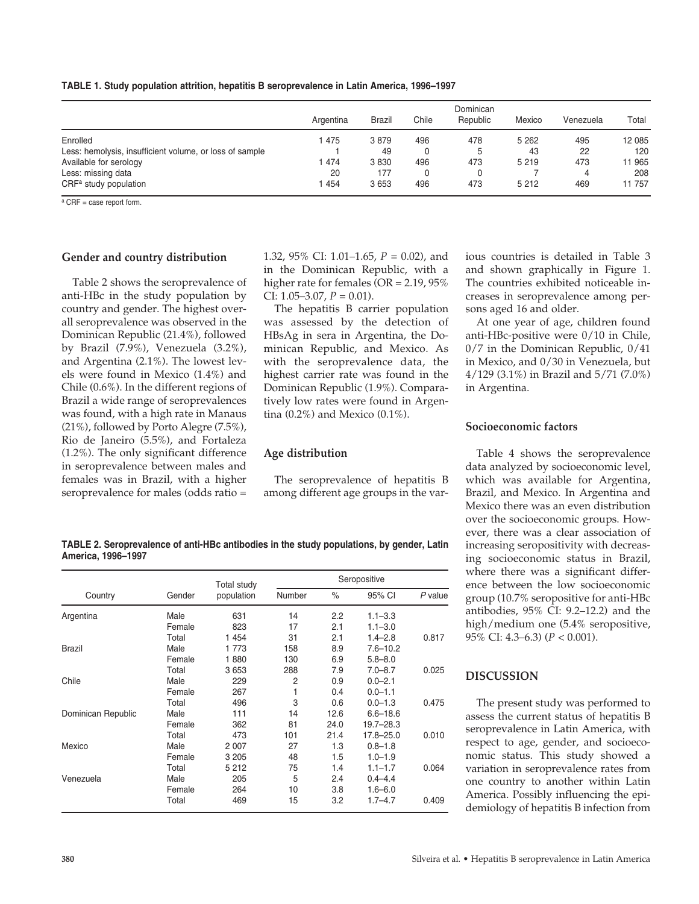|  |  | TABLE 1. Study population attrition, hepatitis B seroprevalence in Latin America, 1996-1997 |  |  |  |  |  |  |  |
|--|--|---------------------------------------------------------------------------------------------|--|--|--|--|--|--|--|
|--|--|---------------------------------------------------------------------------------------------|--|--|--|--|--|--|--|

|                                                         | Argentina | <b>Brazil</b> | Chile | Dominican<br>Republic | Mexico  | Venezuela | Total  |
|---------------------------------------------------------|-----------|---------------|-------|-----------------------|---------|-----------|--------|
| Enrolled                                                | 475       | 3879          | 496   | 478                   | 5 2 6 2 | 495       | 12 085 |
| Less: hemolysis, insufficient volume, or loss of sample |           | 49            |       |                       | 43      | 22        | 120    |
| Available for serology                                  | 474       | 3830          | 496   | 473                   | 5 2 1 9 | 473       | 1965   |
| Less: missing data                                      | 20        | 177           |       |                       |         |           | 208    |
| CRF <sup>a</sup> study population                       | 454       | 3653          | 496   | 473                   | 5 2 1 2 | 469       | 11 757 |

 $a$  CRF = case report form.

#### **Gender and country distribution**

Table 2 shows the seroprevalence of anti-HBc in the study population by country and gender. The highest overall seroprevalence was observed in the Dominican Republic (21.4%), followed by Brazil (7.9%), Venezuela (3.2%), and Argentina (2.1%). The lowest levels were found in Mexico (1.4%) and Chile (0.6%). In the different regions of Brazil a wide range of seroprevalences was found, with a high rate in Manaus (21%), followed by Porto Alegre (7.5%), Rio de Janeiro (5.5%), and Fortaleza (1.2%). The only significant difference in seroprevalence between males and females was in Brazil, with a higher seroprevalence for males (odds ratio =

1.32, 95% CI: 1.01–1.65, *P* = 0.02), and in the Dominican Republic, with a higher rate for females (OR = 2.19, 95% CI:  $1.05-3.07$ ,  $P = 0.01$ ).

The hepatitis B carrier population was assessed by the detection of HBsAg in sera in Argentina, the Dominican Republic, and Mexico. As with the seroprevalence data, the highest carrier rate was found in the Dominican Republic (1.9%). Comparatively low rates were found in Argentina (0.2%) and Mexico (0.1%).

#### **Age distribution**

The seroprevalence of hepatitis B among different age groups in the various countries is detailed in Table 3 and shown graphically in Figure 1. The countries exhibited noticeable increases in seroprevalence among persons aged 16 and older.

At one year of age, children found anti-HBc-positive were 0/10 in Chile, 0/7 in the Dominican Republic, 0/41 in Mexico, and 0/30 in Venezuela, but 4/129 (3.1%) in Brazil and 5/71 (7.0%) in Argentina.

#### **Socioeconomic factors**

Table 4 shows the seroprevalence data analyzed by socioeconomic level, which was available for Argentina, Brazil, and Mexico. In Argentina and Mexico there was an even distribution over the socioeconomic groups. However, there was a clear association of increasing seropositivity with decreasing socioeconomic status in Brazil, where there was a significant difference between the low socioeconomic group (10.7% seropositive for anti-HBc antibodies, 95% CI: 9.2–12.2) and the high/medium one (5.4% seropositive, 95% CI: 4.3–6.3) (*P* < 0.001).

## **DISCUSSION**

The present study was performed to assess the current status of hepatitis B seroprevalence in Latin America, with respect to age, gender, and socioeconomic status. This study showed a variation in seroprevalence rates from one country to another within Latin America. Possibly influencing the epidemiology of hepatitis B infection from

**TABLE 2. Seroprevalence of anti-HBc antibodies in the study populations, by gender, Latin America, 1996–1997** 

|                    |        | Total study | Seropositive |      |              |           |  |  |  |
|--------------------|--------|-------------|--------------|------|--------------|-----------|--|--|--|
| Country            | Gender | population  | Number       | $\%$ | 95% CI       | $P$ value |  |  |  |
| Argentina          | Male   | 631         | 14           | 2.2  | $1.1 - 3.3$  |           |  |  |  |
|                    | Female | 823         | 17           | 2.1  | $1.1 - 3.0$  |           |  |  |  |
|                    | Total  | 1 4 5 4     | 31           | 2.1  | $1.4 - 2.8$  | 0.817     |  |  |  |
| <b>Brazil</b>      | Male   | 1 773       | 158          | 8.9  | $7.6 - 10.2$ |           |  |  |  |
|                    | Female | 1880        | 130          | 6.9  | $5.8 - 8.0$  |           |  |  |  |
|                    | Total  | 3653        | 288          | 7.9  | $7.0 - 8.7$  | 0.025     |  |  |  |
| Chile              | Male   | 229         | 2            | 0.9  | $0.0 - 2.1$  |           |  |  |  |
|                    | Female | 267         |              | 0.4  | $0.0 - 1.1$  |           |  |  |  |
|                    | Total  | 496         | 3            | 0.6  | $0.0 - 1.3$  | 0.475     |  |  |  |
| Dominican Republic | Male   | 111         | 14           | 12.6 | $6.6 - 18.6$ |           |  |  |  |
|                    | Female | 362         | 81           | 24.0 | 19.7–28.3    |           |  |  |  |
|                    | Total  | 473         | 101          | 21.4 | 17.8–25.0    | 0.010     |  |  |  |
| Mexico             | Male   | 2 0 0 7     | 27           | 1.3  | $0.8 - 1.8$  |           |  |  |  |
|                    | Female | 3 2 0 5     | 48           | 1.5  | $1.0 - 1.9$  |           |  |  |  |
|                    | Total  | 5 2 1 2     | 75           | 1.4  | $1.1 - 1.7$  | 0.064     |  |  |  |
| Venezuela          | Male   | 205         | 5            | 2.4  | $0.4 - 4.4$  |           |  |  |  |
|                    | Female | 264         | 10           | 3.8  | $1.6 - 6.0$  |           |  |  |  |
|                    | Total  | 469         | 15           | 3.2  | $1.7 - 4.7$  | 0.409     |  |  |  |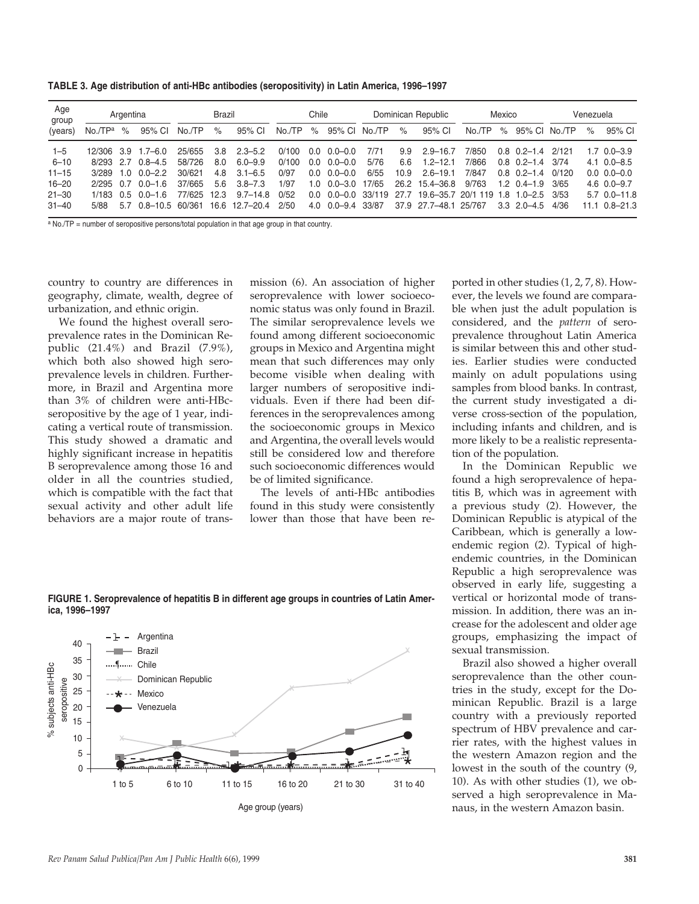**TABLE 3. Age distribution of anti-HBc antibodies (seropositivity) in Latin America, 1996–1997** 

| Age<br>group |             | Argentina |                     |        | <b>Brazil</b> |                | Chile  |      | Dominican Republic                 |       | Mexico |                                | Venezuela |      |                       |        |      |                         |
|--------------|-------------|-----------|---------------------|--------|---------------|----------------|--------|------|------------------------------------|-------|--------|--------------------------------|-----------|------|-----------------------|--------|------|-------------------------|
| (years)      | No./TPª     | $\%$      | 95% CI              | No./TP | %             | 95% CI         | No./TP | $\%$ | 95% CI No./TP                      |       | $\%$   | 95% CI                         | No./TP    | $\%$ | 95% CI                | No /TP | $\%$ | 95% CI                  |
| $1 - 5$      |             |           | 12/306 3.9 1.7-6.0  | 25/655 | 3.8           | $2.3 - 5.2$    | 0/100  | 0.0  | $0.0 - 0.0$                        | 7/71  | 9.9    | $2.9 - 16.7$                   | 7/850     |      | $0.8$ 0.2-1.4         | 2/121  |      | $1.7 \quad 0.0 - 3.9$   |
| $6 - 10$     | 8/293 2.7   |           | $0.8 - 4.5$         | 58/726 | 8.0           | $6.0 - 9.9$    | 0/100  | 0.0  | $0.0 - 0.0$                        | 5/76  | 6.6    | $1.2 - 12.1$                   | 7/866     |      | $0.8$ 0.2-1.4         | 3/74   |      | $4.1 \quad 0.0 - 8.5$   |
| $11 - 15$    | 3/289       | 1.0       | $0.0 - 2.2$         | 30/621 | 4.8           | $3.1 - 6.5$    | 0/97   | 0.0  | $0.0 - 0.0$                        | 6/55  | 10.9   | $2.6 - 19.1$                   | 7/847     |      | $0.8$ $0.2 - 1.4$     | 0/120  |      | $0.0 \quad 0.0 - 0.0$   |
| $16 - 20$    | $2/295$ 0.7 |           | $0.0 - 1.6$         | 37/665 | 5.6           | $3.8 - 7.3$    | 1/97   |      | $1.0 \quad 0.0 - 3.0$              | 17/65 |        | 26.2 15.4 - 36.8               | 9/763     |      | $1.2 \quad 0.4 - 1.9$ | 3/65   |      | $4.6 \quad 0.0 - 9.7$   |
| $21 - 30$    | 1/183       | 0.5       | $0.0 - 1.6$         | 77/625 | 12.3          | $9.7 - 14.8$   | 0/52   |      | $0.0 \quad 0.0 - 0.0 \quad 33/119$ |       | 27.7   | 19.6-35.7 20/1 119 1.8 1.0-2.5 |           |      |                       | 3/53   |      | $5.7 \quad 0.0 - 11.8$  |
| $31 - 40$    | 5/88        | 5.7       | $0.8 - 10.5$ 60/361 |        |               | 16.6 12.7-20.4 | 2/50   |      | 4.0 0.0 - 9.4 33/87                |       |        | 37.9 27.7-48.1 25/767          |           |      | $3.3$ $2.0 - 4.5$     | 4/36   |      | $11.1 \quad 0.8 - 21.3$ |

 $a$  No./TP = number of seropositive persons/total population in that age group in that country.

country to country are differences in geography, climate, wealth, degree of urbanization, and ethnic origin.

We found the highest overall seroprevalence rates in the Dominican Republic (21.4%) and Brazil (7.9%), which both also showed high seroprevalence levels in children. Furthermore, in Brazil and Argentina more than 3% of children were anti-HBcseropositive by the age of 1 year, indicating a vertical route of transmission. This study showed a dramatic and highly significant increase in hepatitis B seroprevalence among those 16 and older in all the countries studied, which is compatible with the fact that sexual activity and other adult life behaviors are a major route of trans-

mission (6). An association of higher seroprevalence with lower socioeconomic status was only found in Brazil. The similar seroprevalence levels we found among different socioeconomic groups in Mexico and Argentina might mean that such differences may only become visible when dealing with larger numbers of seropositive individuals. Even if there had been differences in the seroprevalences among the socioeconomic groups in Mexico and Argentina, the overall levels would still be considered low and therefore such socioeconomic differences would be of limited significance.

The levels of anti-HBc antibodies found in this study were consistently lower than those that have been reported in other studies (1, 2, 7, 8). However, the levels we found are comparable when just the adult population is considered, and the *pattern* of seroprevalence throughout Latin America is similar between this and other studies. Earlier studies were conducted mainly on adult populations using samples from blood banks. In contrast, the current study investigated a diverse cross-section of the population, including infants and children, and is more likely to be a realistic representation of the population.

In the Dominican Republic we found a high seroprevalence of hepatitis B, which was in agreement with a previous study (2). However, the Dominican Republic is atypical of the Caribbean, which is generally a lowendemic region (2). Typical of highendemic countries, in the Dominican Republic a high seroprevalence was observed in early life, suggesting a vertical or horizontal mode of transmission. In addition, there was an increase for the adolescent and older age groups, emphasizing the impact of sexual transmission.

Brazil also showed a higher overall seroprevalence than the other countries in the study, except for the Dominican Republic. Brazil is a large country with a previously reported spectrum of HBV prevalence and carrier rates, with the highest values in the western Amazon region and the lowest in the south of the country (9, 10). As with other studies (1), we observed a high seroprevalence in Manaus, in the western Amazon basin.

**FIGURE 1. Seroprevalence of hepatitis B in different age groups in countries of Latin America, 1996–1997**

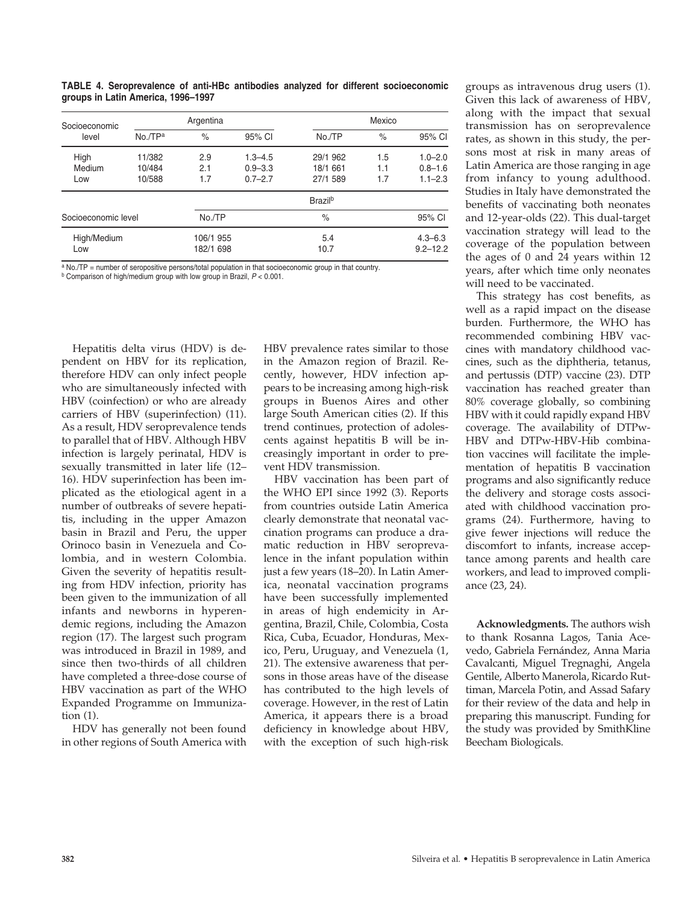| Socioeconomic       |             | Argentina |             |                     | Mexico       |             |  |
|---------------------|-------------|-----------|-------------|---------------------|--------------|-------------|--|
| level               | $No.$ $TPa$ | $\%$      | 95% CI      | No./TP              | $\%$         | 95% CI      |  |
| High                | 11/382      | 2.9       | $1.3 - 4.5$ | 29/1 962            | 1.5          | $1.0 - 2.0$ |  |
| Medium              | 10/484      | 2.1       | $0.9 - 3.3$ | 18/1 661            | 1.1          | $0.8 - 1.6$ |  |
| Low                 | 10/588      | 1.7       | $0.7 - 2.7$ | 27/1 589            | 1.7          | $1.1 - 2.3$ |  |
|                     |             |           |             | Brazil <sup>b</sup> |              |             |  |
| Socioeconomic level |             | No./TP    |             | $\%$                |              | 95% CI      |  |
| High/Medium         |             | 106/1 955 |             | 5.4                 |              | $4.3 - 6.3$ |  |
| Low                 |             | 182/1 698 |             | 10.7                | $9.2 - 12.2$ |             |  |

**TABLE 4. Seroprevalence of anti-HBc antibodies analyzed for different socioeconomic groups in Latin America, 1996–1997**

a No./TP = number of seropositive persons/total population in that socioeconomic group in that country. <sup>b</sup> Comparison of high/medium group with low group in Brazil, *P* < 0.001.

Hepatitis delta virus (HDV) is dependent on HBV for its replication, therefore HDV can only infect people who are simultaneously infected with HBV (coinfection) or who are already carriers of HBV (superinfection) (11). As a result, HDV seroprevalence tends to parallel that of HBV. Although HBV infection is largely perinatal, HDV is sexually transmitted in later life (12– 16). HDV superinfection has been implicated as the etiological agent in a number of outbreaks of severe hepatitis, including in the upper Amazon basin in Brazil and Peru, the upper Orinoco basin in Venezuela and Colombia, and in western Colombia. Given the severity of hepatitis resulting from HDV infection, priority has been given to the immunization of all infants and newborns in hyperendemic regions, including the Amazon region (17). The largest such program was introduced in Brazil in 1989, and since then two-thirds of all children have completed a three-dose course of HBV vaccination as part of the WHO Expanded Programme on Immunization (1).

HDV has generally not been found in other regions of South America with HBV prevalence rates similar to those in the Amazon region of Brazil. Recently, however, HDV infection appears to be increasing among high-risk groups in Buenos Aires and other large South American cities (2). If this trend continues, protection of adolescents against hepatitis B will be increasingly important in order to prevent HDV transmission.

HBV vaccination has been part of the WHO EPI since 1992 (3). Reports from countries outside Latin America clearly demonstrate that neonatal vaccination programs can produce a dramatic reduction in HBV seroprevalence in the infant population within just a few years (18–20). In Latin America, neonatal vaccination programs have been successfully implemented in areas of high endemicity in Argentina, Brazil, Chile, Colombia, Costa Rica, Cuba, Ecuador, Honduras, Mexico, Peru, Uruguay, and Venezuela (1, 21). The extensive awareness that persons in those areas have of the disease has contributed to the high levels of coverage. However, in the rest of Latin America, it appears there is a broad deficiency in knowledge about HBV, with the exception of such high-risk

groups as intravenous drug users (1). Given this lack of awareness of HBV, along with the impact that sexual transmission has on seroprevalence rates, as shown in this study, the persons most at risk in many areas of Latin America are those ranging in age from infancy to young adulthood. Studies in Italy have demonstrated the benefits of vaccinating both neonates and 12-year-olds (22). This dual-target vaccination strategy will lead to the coverage of the population between the ages of 0 and 24 years within 12 years, after which time only neonates will need to be vaccinated.

This strategy has cost benefits, as well as a rapid impact on the disease burden. Furthermore, the WHO has recommended combining HBV vaccines with mandatory childhood vaccines, such as the diphtheria, tetanus, and pertussis (DTP) vaccine (23). DTP vaccination has reached greater than 80% coverage globally, so combining HBV with it could rapidly expand HBV coverage. The availability of DTPw-HBV and DTPw-HBV-Hib combination vaccines will facilitate the implementation of hepatitis B vaccination programs and also significantly reduce the delivery and storage costs associated with childhood vaccination programs (24). Furthermore, having to give fewer injections will reduce the discomfort to infants, increase acceptance among parents and health care workers, and lead to improved compliance (23, 24).

**Acknowledgments.** The authors wish to thank Rosanna Lagos, Tania Acevedo, Gabriela Fernández, Anna Maria Cavalcanti, Miguel Tregnaghi, Angela Gentile, Alberto Manerola, Ricardo Ruttiman, Marcela Potin, and Assad Safary for their review of the data and help in preparing this manuscript. Funding for the study was provided by SmithKline Beecham Biologicals.